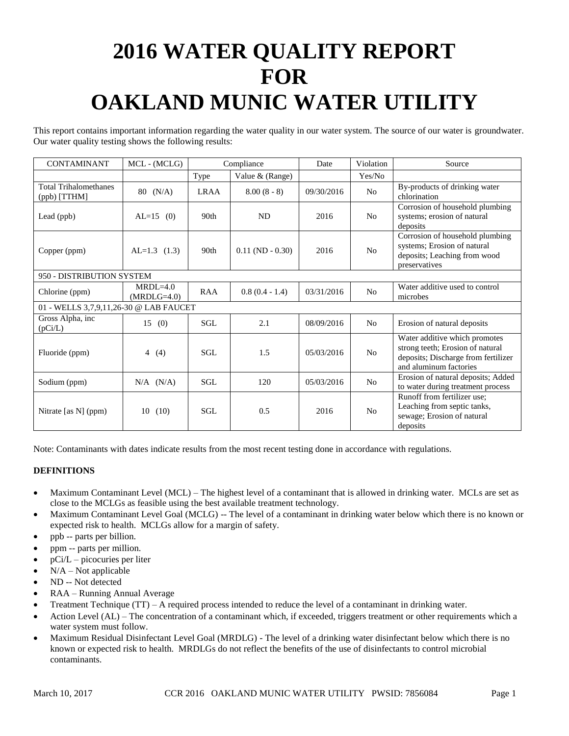# **2016 WATER QUALITY REPORT FOR OAKLAND MUNIC WATER UTILITY**

This report contains important information regarding the water quality in our water system. The source of our water is groundwater. Our water quality testing shows the following results:

| <b>CONTAMINANT</b>                           | MCL - (MCLG)                | Compliance       |                       | Date       | Violation      | Source                                                                                                                             |
|----------------------------------------------|-----------------------------|------------------|-----------------------|------------|----------------|------------------------------------------------------------------------------------------------------------------------------------|
|                                              |                             | Type             | Value & (Range)       |            | Yes/No         |                                                                                                                                    |
| <b>Total Trihalomethanes</b><br>(ppb) [TTHM] | $80 \t(N/A)$                | <b>LRAA</b>      | $8.00(8-8)$           | 09/30/2016 | N <sub>o</sub> | By-products of drinking water<br>chlorination                                                                                      |
| Lead (ppb)                                   | $AL=15$ (0)                 | 90 <sub>th</sub> | <b>ND</b>             | 2016       | N <sub>o</sub> | Corrosion of household plumbing<br>systems; erosion of natural<br>deposits                                                         |
| Copper (ppm)                                 | $AL=1.3$ (1.3)              | 90 <sub>th</sub> | $0.11$ (ND $- 0.30$ ) | 2016       | N <sub>o</sub> | Corrosion of household plumbing<br>systems; Erosion of natural<br>deposits; Leaching from wood<br>preservatives                    |
| 950 - DISTRIBUTION SYSTEM                    |                             |                  |                       |            |                |                                                                                                                                    |
| Chlorine (ppm)                               | $MRDL=4.0$<br>$(MRDLG=4.0)$ | <b>RAA</b>       | $0.8(0.4 - 1.4)$      | 03/31/2016 | No             | Water additive used to control<br>microbes                                                                                         |
| 01 - WELLS 3,7,9,11,26-30 @ LAB FAUCET       |                             |                  |                       |            |                |                                                                                                                                    |
| Gross Alpha, inc<br>(pCi/L)                  | 15(0)                       | SGL              | 2.1                   | 08/09/2016 | No             | Erosion of natural deposits                                                                                                        |
| Fluoride (ppm)                               | $\overline{4}$<br>(4)       | SGL              | 1.5                   | 05/03/2016 | N <sub>o</sub> | Water additive which promotes<br>strong teeth; Erosion of natural<br>deposits; Discharge from fertilizer<br>and aluminum factories |
| Sodium (ppm)                                 | $N/A$ $(N/A)$               | SGL.             | 120                   | 05/03/2016 | No             | Erosion of natural deposits; Added<br>to water during treatment process                                                            |
| Nitrate [as N] (ppm)                         | (10)<br>10                  | SGL.             | 0.5                   | 2016       | N <sub>o</sub> | Runoff from fertilizer use;<br>Leaching from septic tanks,<br>sewage; Erosion of natural<br>deposits                               |

Note: Contaminants with dates indicate results from the most recent testing done in accordance with regulations.

# **DEFINITIONS**

- Maximum Contaminant Level (MCL) The highest level of a contaminant that is allowed in drinking water. MCLs are set as close to the MCLGs as feasible using the best available treatment technology.
- Maximum Contaminant Level Goal (MCLG) -- The level of a contaminant in drinking water below which there is no known or expected risk to health. MCLGs allow for a margin of safety.
- ppb -- parts per billion.
- ppm -- parts per million.
- pCi/L picocuries per liter
- $N/A Not$  applicable
- ND -- Not detected
- RAA Running Annual Average
- Treatment Technique (TT) A required process intended to reduce the level of a contaminant in drinking water.
- Action Level (AL) The concentration of a contaminant which, if exceeded, triggers treatment or other requirements which a water system must follow.
- Maximum Residual Disinfectant Level Goal (MRDLG) The level of a drinking water disinfectant below which there is no known or expected risk to health. MRDLGs do not reflect the benefits of the use of disinfectants to control microbial contaminants.